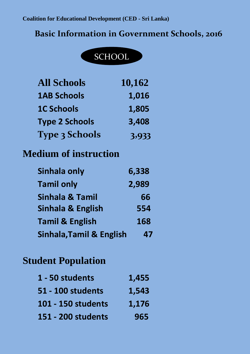## **Basic Information in Government Schools, 2016**



| <b>All Schools</b>                  | 10,162 |
|-------------------------------------|--------|
| <b>1AB Schools</b>                  | 1,016  |
| <b>1C Schools</b>                   | 1,805  |
| <b>Type 2 Schools</b>               | 3,408  |
| <b>Type 3 Schools</b>               | 3,933  |
| <b>Medium of instruction</b>        |        |
| Sinhala only                        | 6,338  |
| <b>Tamil only</b>                   | 2,989  |
| Sinhala & Tamil                     | 66     |
| <b>Sinhala &amp; English</b>        | 554    |
| <b>Tamil &amp; English</b>          | 168    |
| <b>Sinhala, Tamil &amp; English</b> | 47     |

## **Student Population**

| 1 - 50 students    | 1,455 |
|--------------------|-------|
| 51 - 100 students  | 1,543 |
| 101 - 150 students | 1,176 |
| 151 - 200 students | 965   |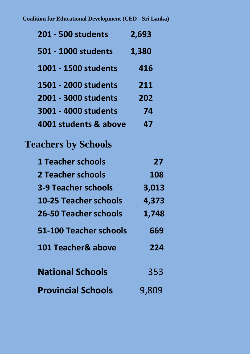| <b>201 - 500 students</b>    | 2,693 |
|------------------------------|-------|
| 501 - 1000 students          | 1,380 |
| 1001 - 1500 students         | 416   |
| 1501 - 2000 students         | 211   |
| 2001 - 3000 students         | 202   |
| 3001 - 4000 students         | 74    |
| 4001 students & above        | 47    |
| <b>Teachers by Schools</b>   |       |
| <b>1 Teacher schools</b>     | 27    |
| 2 Teacher schools            | 108   |
| <b>3-9 Teacher schools</b>   | 3,013 |
| <b>10-25 Teacher schools</b> | 4,373 |
| <b>26-50 Teacher schools</b> | 1,748 |
| 51-100 Teacher schools       | 669   |
| 101 Teacher& above           | 224   |
| <b>National Schools</b>      | 353   |
| <b>Provincial Schools</b>    | 9,809 |
|                              |       |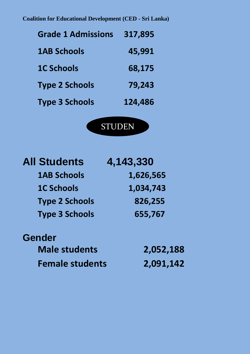**Coalition for Educational Development (CED - Sri Lanka)**

| <b>Grade 1 Admissions</b> | 317,895 |
|---------------------------|---------|
| <b>1AB Schools</b>        | 45,991  |
| <b>1C Schools</b>         | 68,175  |
| <b>Type 2 Schools</b>     | 79,243  |
| <b>Type 3 Schools</b>     | 124,486 |



TS<br>TS<br>TS TS

| <b>All Students</b>   | 4,143,330 |
|-----------------------|-----------|
| <b>1AB Schools</b>    | 1,626,565 |
| <b>1C Schools</b>     | 1,034,743 |
| <b>Type 2 Schools</b> | 826,255   |
| <b>Type 3 Schools</b> | 655,767   |

## **Gender**

**Male students 2,052,188 Female students 2,091,142**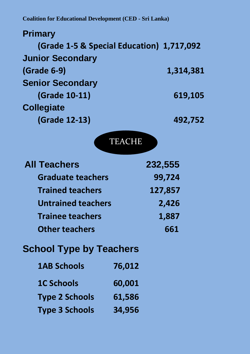| <b>Primary</b>                            |               |           |
|-------------------------------------------|---------------|-----------|
| (Grade 1-5 & Special Education) 1,717,092 |               |           |
| <b>Junior Secondary</b>                   |               |           |
| (Grade 6-9)                               |               | 1,314,381 |
| <b>Senior Secondary</b>                   |               |           |
| (Grade 10-11)                             |               | 619,105   |
| <b>Collegiate</b>                         |               |           |
| <b>(Grade 12-13)</b>                      |               | 492,752   |
|                                           | <b>TEACHE</b> |           |
| <b>All Teachers</b>                       |               | 232,555   |
| <b>Graduate teachers</b>                  |               | 99,724    |
| <b>Trained teachers</b>                   |               | 127,857   |
| <b>Untrained teachers</b>                 |               | 2,426     |
| <b>Trainee teachers</b>                   |               | 1,887     |
| <b>Other teachers</b>                     |               | 661       |
| <b>School Type by Teachers</b>            |               |           |
| <b>1AB Schools</b>                        | 76,012        |           |
| <b>1C Schools</b>                         | 60,001        |           |
| <b>Type 2 Schools</b>                     | 61,586        |           |
| <b>Type 3 Schools</b>                     | 34,956        |           |
|                                           |               |           |